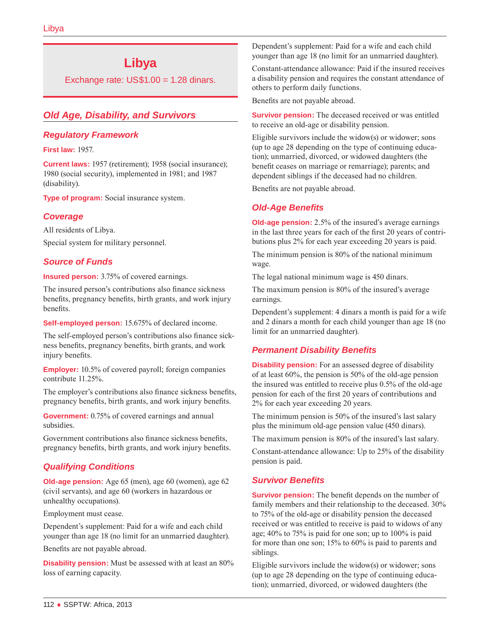# **Libya**

Exchange rate:  $US$1.00 = 1.28$  dinars.

# *Old Age, Disability, and Survivors*

## *Regulatory Framework*

**First law:** 1957.

**Current laws:** 1957 (retirement); 1958 (social insurance); 1980 (social security), implemented in 1981; and 1987 (disability).

**Type of program:** Social insurance system.

## *Coverage*

All residents of Libya.

Special system for military personnel.

## *Source of Funds*

**Insured person:** 3.75% of covered earnings.

The insured person's contributions also finance sickness benefits, pregnancy benefits, birth grants, and work injury benefits.

**Self-employed person:** 15.675% of declared income.

The self-employed person's contributions also finance sickness benefits, pregnancy benefits, birth grants, and work injury benefits.

**Employer:** 10.5% of covered payroll; foreign companies contribute 11.25%.

The employer's contributions also finance sickness benefits, pregnancy benefits, birth grants, and work injury benefits.

**Government:** 0.75% of covered earnings and annual subsidies.

Government contributions also finance sickness benefits, pregnancy benefits, birth grants, and work injury benefits.

# *Qualifying Conditions*

**Old-age pension:** Age 65 (men), age 60 (women), age 62 (civil servants), and age 60 (workers in hazardous or unhealthy occupations).

Employment must cease.

Dependent's supplement: Paid for a wife and each child younger than age 18 (no limit for an unmarried daughter).

Benefits are not payable abroad.

**Disability pension:** Must be assessed with at least an 80% loss of earning capacity.

Dependent's supplement: Paid for a wife and each child younger than age 18 (no limit for an unmarried daughter).

Constant-attendance allowance: Paid if the insured receives a disability pension and requires the constant attendance of others to perform daily functions.

Benefits are not payable abroad.

**Survivor pension:** The deceased received or was entitled to receive an old-age or disability pension.

Eligible survivors include the widow(s) or widower; sons (up to age 28 depending on the type of continuing education); unmarried, divorced, or widowed daughters (the benefit ceases on marriage or remarriage); parents; and dependent siblings if the deceased had no children.

Benefits are not payable abroad.

## *Old-Age Benefits*

**Old-age pension:** 2.5% of the insured's average earnings in the last three years for each of the first 20 years of contributions plus 2% for each year exceeding 20 years is paid.

The minimum pension is 80% of the national minimum wage.

The legal national minimum wage is 450 dinars.

The maximum pension is 80% of the insured's average earnings.

Dependent's supplement: 4 dinars a month is paid for a wife and 2 dinars a month for each child younger than age 18 (no limit for an unmarried daughter).

# *Permanent Disability Benefits*

**Disability pension:** For an assessed degree of disability of at least 60%, the pension is 50% of the old-age pension the insured was entitled to receive plus 0.5% of the old-age pension for each of the first 20 years of contributions and 2% for each year exceeding 20 years.

The minimum pension is 50% of the insured's last salary plus the minimum old-age pension value (450 dinars).

The maximum pension is 80% of the insured's last salary.

Constant-attendance allowance: Up to 25% of the disability pension is paid.

# *Survivor Benefits*

**Survivor pension:** The benefit depends on the number of family members and their relationship to the deceased. 30% to 75% of the old-age or disability pension the deceased received or was entitled to receive is paid to widows of any age; 40% to 75% is paid for one son; up to 100% is paid for more than one son; 15% to 60% is paid to parents and siblings.

Eligible survivors include the widow(s) or widower; sons (up to age 28 depending on the type of continuing education); unmarried, divorced, or widowed daughters (the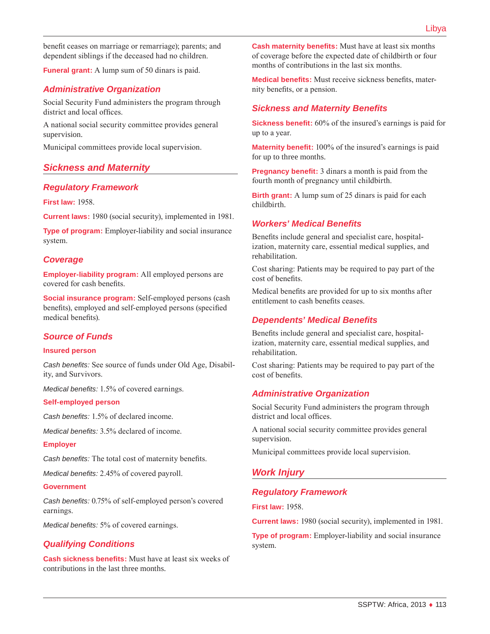benefit ceases on marriage or remarriage); parents; and dependent siblings if the deceased had no children.

**Funeral grant:** A lump sum of 50 dinars is paid.

## *Administrative Organization*

Social Security Fund administers the program through district and local offices.

A national social security committee provides general supervision.

Municipal committees provide local supervision.

## *Sickness and Maternity*

## *Regulatory Framework*

**First law:** 1958.

**Current laws:** 1980 (social security), implemented in 1981.

**Type of program:** Employer-liability and social insurance system.

## *Coverage*

**Employer-liability program:** All employed persons are covered for cash benefits.

**Social insurance program:** Self-employed persons (cash benefits), employed and self-employed persons (specified medical benefits).

## *Source of Funds*

#### **Insured person**

*Cash benefits:* See source of funds under Old Age, Disability, and Survivors.

*Medical benefits:* 1.5% of covered earnings.

#### **Self-employed person**

*Cash benefits:* 1.5% of declared income.

*Medical benefits:* 3.5% declared of income.

#### **Employer**

*Cash benefits:* The total cost of maternity benefits.

*Medical benefits:* 2.45% of covered payroll.

#### **Government**

*Cash benefits:* 0.75% of self-employed person's covered earnings.

*Medical benefits:* 5% of covered earnings.

## *Qualifying Conditions*

**Cash sickness benefits:** Must have at least six weeks of contributions in the last three months.

**Cash maternity benefits:** Must have at least six months of coverage before the expected date of childbirth or four months of contributions in the last six months.

**Medical benefits:** Must receive sickness benefits, maternity benefits, or a pension.

## *Sickness and Maternity Benefits*

**Sickness benefit:** 60% of the insured's earnings is paid for up to a year.

**Maternity benefit:** 100% of the insured's earnings is paid for up to three months.

**Pregnancy benefit:** 3 dinars a month is paid from the fourth month of pregnancy until childbirth.

**Birth grant:** A lump sum of 25 dinars is paid for each childbirth.

#### *Workers' Medical Benefits*

Benefits include general and specialist care, hospitalization, maternity care, essential medical supplies, and rehabilitation.

Cost sharing: Patients may be required to pay part of the cost of benefits.

Medical benefits are provided for up to six months after entitlement to cash benefits ceases.

#### *Dependents' Medical Benefits*

Benefits include general and specialist care, hospitalization, maternity care, essential medical supplies, and rehabilitation.

Cost sharing: Patients may be required to pay part of the cost of benefits.

#### *Administrative Organization*

Social Security Fund administers the program through district and local offices.

A national social security committee provides general supervision.

Municipal committees provide local supervision.

## *Work Injury*

#### *Regulatory Framework*

**First law:** 1958.

**Current laws:** 1980 (social security), implemented in 1981.

**Type of program:** Employer-liability and social insurance system.